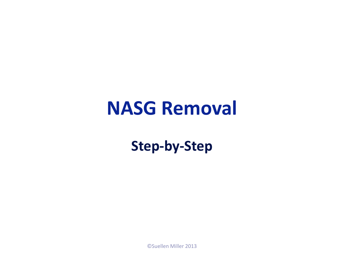## **NASG Removal**

**Step-by-Step**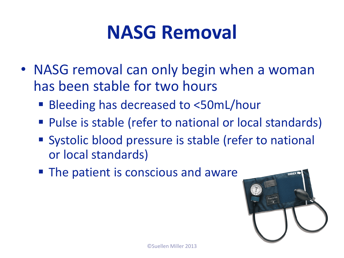## **NASG Removal**

- NASG removal can only begin when a woman has been stable for two hours
	- Bleeding has decreased to <50mL/hour
	- Pulse is stable (refer to national or local standards)
	- Systolic blood pressure is stable (refer to national or local standards)
	- **The patient is conscious and aware**

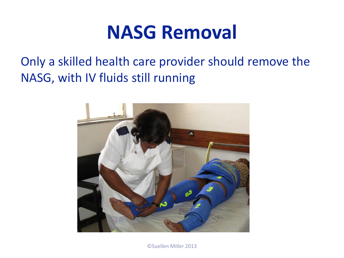## **NASG Removal**

Only a skilled health care provider should remove the NASG, with IV fluids still running

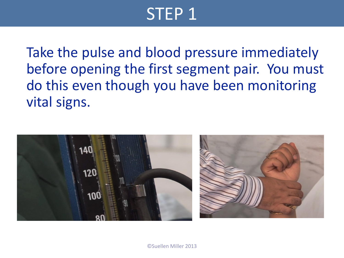Take the pulse and blood pressure immediately before opening the first segment pair. You must do this even though you have been monitoring vital signs.

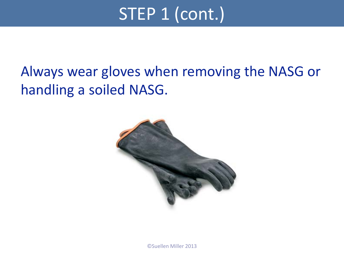## STEP 1 (cont.)

#### Always wear gloves when removing the NASG or handling a soiled NASG.

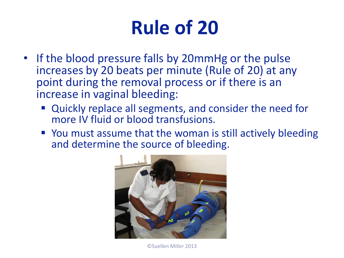# **Rule of 20**

- If the blood pressure falls by 20mmHg or the pulse increases by 20 beats per minute (Rule of 20) at any point during the removal process or if there is an increase in vaginal bleeding:
	- Quickly replace all segments, and consider the need for more IV fluid or blood transfusions.
	- You must assume that the woman is still actively bleeding and determine the source of bleeding.

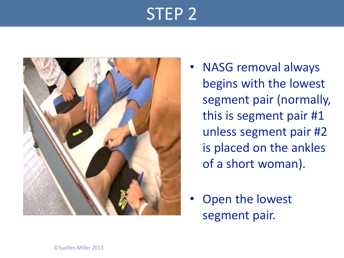

- NASG removal always begins with the lowest segment pair (normally, this is segment pair #1 unless segment pair #2 is placed on the ankles of a short woman).
- Open the lowest segment pair.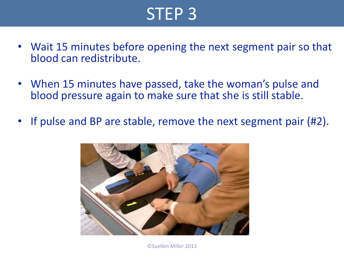- Wait 15 minutes before opening the next segment pair so that blood can redistribute.
- When 15 minutes have passed, take the woman's pulse and blood pressure again to make sure that she is still stable.
- If pulse and BP are stable, remove the next segment pair (#2).

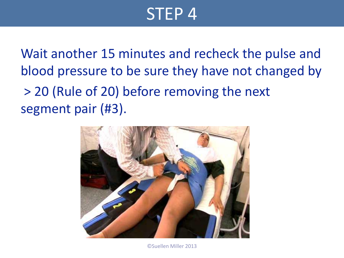Wait another 15 minutes and recheck the pulse and blood pressure to be sure they have not changed by > 20 (Rule of 20) before removing the next segment pair (#3).

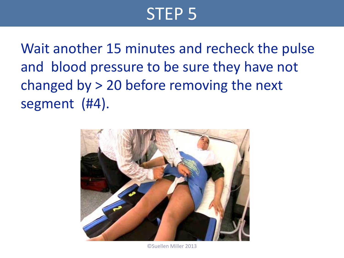Wait another 15 minutes and recheck the pulse and blood pressure to be sure they have not changed by > 20 before removing the next segment (#4).



©Suellen Miller 2013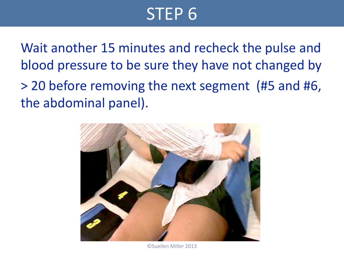Wait another 15 minutes and recheck the pulse and blood pressure to be sure they have not changed by > 20 before removing the next segment (#5 and #6, the abdominal panel).